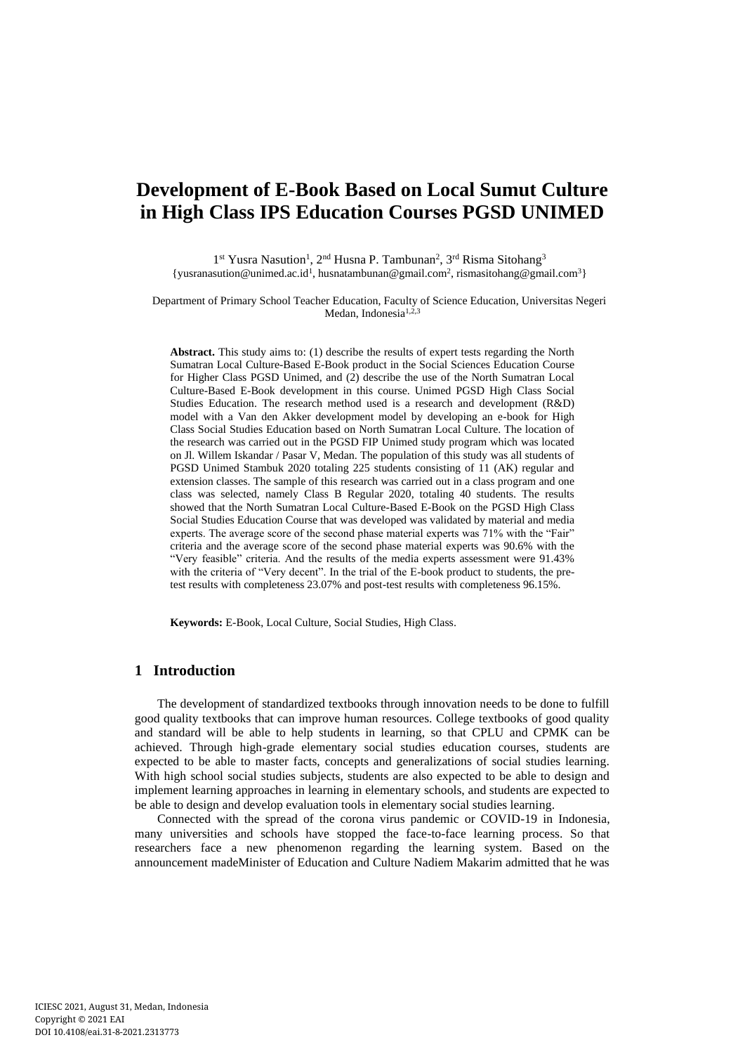# **Development of E-Book Based on Local Sumut Culture in High Class IPS Education Courses PGSD UNIMED**

1<sup>st</sup> Yusra Nasution<sup>1</sup>, 2<sup>nd</sup> Husna P. Tambunan<sup>2</sup>, 3<sup>rd</sup> Risma Sitohang<sup>3</sup> {yusranasution@unimed.ac.id<sup>1</sup>, husnatambunan@gmail.com<sup>2</sup>, rismasitohang@gmail.com<sup>3</sup>}

Department of Primary School Teacher Education, Faculty of Science Education, Universitas Negeri Medan, Indonesia<sup>1,2,3</sup>

**Abstract.** This study aims to: (1) describe the results of expert tests regarding the North Sumatran Local Culture-Based E-Book product in the Social Sciences Education Course for Higher Class PGSD Unimed, and (2) describe the use of the North Sumatran Local Culture-Based E-Book development in this course. Unimed PGSD High Class Social Studies Education. The research method used is a research and development (R&D) model with a Van den Akker development model by developing an e-book for High Class Social Studies Education based on North Sumatran Local Culture. The location of the research was carried out in the PGSD FIP Unimed study program which was located on Jl. Willem Iskandar / Pasar V, Medan. The population of this study was all students of PGSD Unimed Stambuk 2020 totaling 225 students consisting of 11 (AK) regular and extension classes. The sample of this research was carried out in a class program and one class was selected, namely Class B Regular 2020, totaling 40 students. The results showed that the North Sumatran Local Culture-Based E-Book on the PGSD High Class Social Studies Education Course that was developed was validated by material and media experts. The average score of the second phase material experts was 71% with the "Fair" criteria and the average score of the second phase material experts was 90.6% with the "Very feasible" criteria. And the results of the media experts assessment were 91.43% with the criteria of "Very decent". In the trial of the E-book product to students, the pretest results with completeness 23.07% and post-test results with completeness 96.15%.

**Keywords:** E-Book, Local Culture, Social Studies, High Class.

## **1 Introduction**

The development of standardized textbooks through innovation needs to be done to fulfill good quality textbooks that can improve human resources. College textbooks of good quality and standard will be able to help students in learning, so that CPLU and CPMK can be achieved. Through high-grade elementary social studies education courses, students are expected to be able to master facts, concepts and generalizations of social studies learning. With high school social studies subjects, students are also expected to be able to design and implement learning approaches in learning in elementary schools, and students are expected to be able to design and develop evaluation tools in elementary social studies learning.

Connected with the spread of the corona virus pandemic or COVID-19 in Indonesia, many universities and schools have stopped the face-to-face learning process. So that researchers face a new phenomenon regarding the learning system. Based on the announcement madeMinister of Education and Culture Nadiem Makarim admitted that he was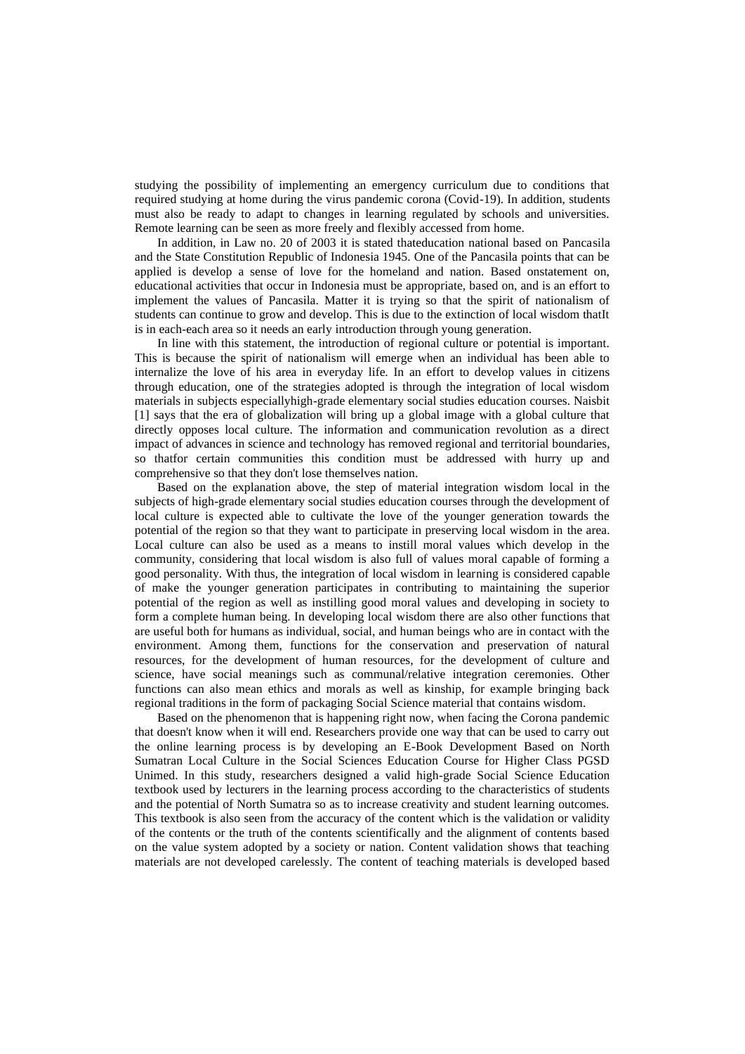studying the possibility of implementing an emergency curriculum due to conditions that required studying at home during the virus pandemic corona (Covid-19). In addition, students must also be ready to adapt to changes in learning regulated by schools and universities. Remote learning can be seen as more freely and flexibly accessed from home.

In addition, in Law no. 20 of 2003 it is stated thateducation national based on Pancasila and the State Constitution Republic of Indonesia 1945. One of the Pancasila points that can be applied is develop a sense of love for the homeland and nation. Based onstatement on, educational activities that occur in Indonesia must be appropriate, based on, and is an effort to implement the values of Pancasila. Matter it is trying so that the spirit of nationalism of students can continue to grow and develop. This is due to the extinction of local wisdom thatIt is in each-each area so it needs an early introduction through young generation.

In line with this statement, the introduction of regional culture or potential is important. This is because the spirit of nationalism will emerge when an individual has been able to internalize the love of his area in everyday life. In an effort to develop values in citizens through education, one of the strategies adopted is through the integration of local wisdom materials in subjects especiallyhigh-grade elementary social studies education courses. Naisbit [1] says that the era of globalization will bring up a global image with a global culture that directly opposes local culture. The information and communication revolution as a direct impact of advances in science and technology has removed regional and territorial boundaries, so thatfor certain communities this condition must be addressed with hurry up and comprehensive so that they don't lose themselves nation.

Based on the explanation above, the step of material integration wisdom local in the subjects of high-grade elementary social studies education courses through the development of local culture is expected able to cultivate the love of the younger generation towards the potential of the region so that they want to participate in preserving local wisdom in the area. Local culture can also be used as a means to instill moral values which develop in the community, considering that local wisdom is also full of values moral capable of forming a good personality. With thus, the integration of local wisdom in learning is considered capable of make the younger generation participates in contributing to maintaining the superior potential of the region as well as instilling good moral values and developing in society to form a complete human being. In developing local wisdom there are also other functions that are useful both for humans as individual, social, and human beings who are in contact with the environment. Among them, functions for the conservation and preservation of natural resources, for the development of human resources, for the development of culture and science, have social meanings such as communal/relative integration ceremonies. Other functions can also mean ethics and morals as well as kinship, for example bringing back regional traditions in the form of packaging Social Science material that contains wisdom.

Based on the phenomenon that is happening right now, when facing the Corona pandemic that doesn't know when it will end. Researchers provide one way that can be used to carry out the online learning process is by developing an E-Book Development Based on North Sumatran Local Culture in the Social Sciences Education Course for Higher Class PGSD Unimed. In this study, researchers designed a valid high-grade Social Science Education textbook used by lecturers in the learning process according to the characteristics of students and the potential of North Sumatra so as to increase creativity and student learning outcomes. This textbook is also seen from the accuracy of the content which is the validation or validity of the contents or the truth of the contents scientifically and the alignment of contents based on the value system adopted by a society or nation. Content validation shows that teaching materials are not developed carelessly. The content of teaching materials is developed based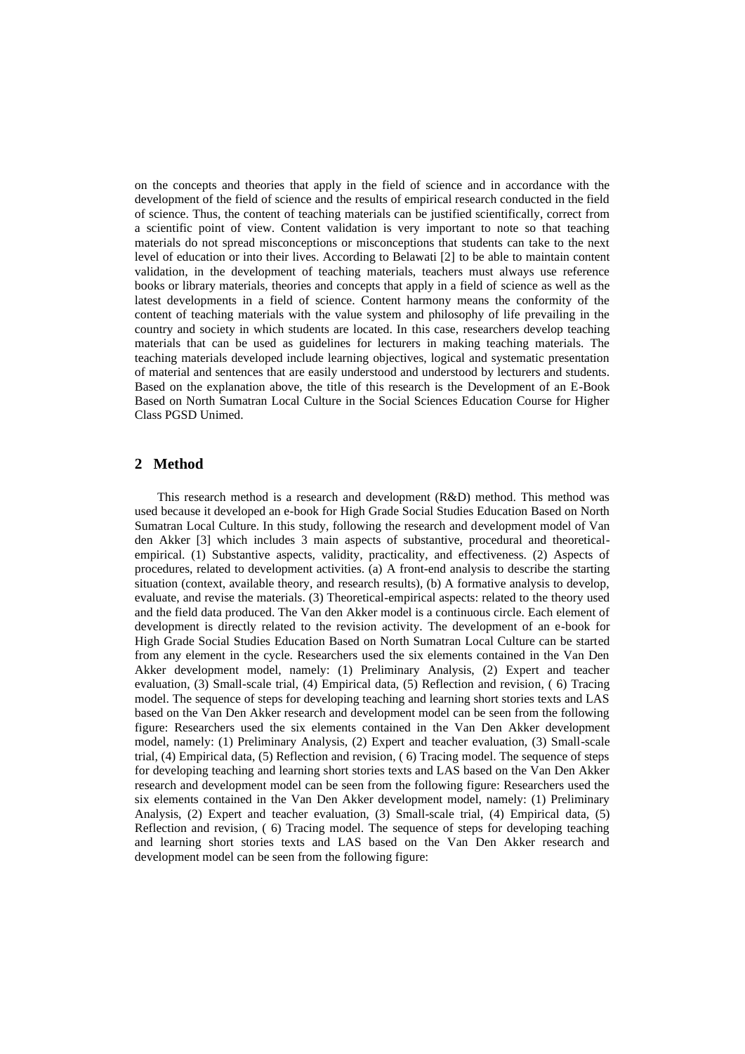on the concepts and theories that apply in the field of science and in accordance with the development of the field of science and the results of empirical research conducted in the field of science. Thus, the content of teaching materials can be justified scientifically, correct from a scientific point of view. Content validation is very important to note so that teaching materials do not spread misconceptions or misconceptions that students can take to the next level of education or into their lives. According to Belawati [2] to be able to maintain content validation, in the development of teaching materials, teachers must always use reference books or library materials, theories and concepts that apply in a field of science as well as the latest developments in a field of science. Content harmony means the conformity of the content of teaching materials with the value system and philosophy of life prevailing in the country and society in which students are located. In this case, researchers develop teaching materials that can be used as guidelines for lecturers in making teaching materials. The teaching materials developed include learning objectives, logical and systematic presentation of material and sentences that are easily understood and understood by lecturers and students. Based on the explanation above, the title of this research is the Development of an E-Book Based on North Sumatran Local Culture in the Social Sciences Education Course for Higher Class PGSD Unimed.

# **2 Method**

This research method is a research and development (R&D) method. This method was used because it developed an e-book for High Grade Social Studies Education Based on North Sumatran Local Culture. In this study, following the research and development model of Van den Akker [3] which includes 3 main aspects of substantive, procedural and theoreticalempirical. (1) Substantive aspects, validity, practicality, and effectiveness. (2) Aspects of procedures, related to development activities. (a) A front-end analysis to describe the starting situation (context, available theory, and research results), (b) A formative analysis to develop, evaluate, and revise the materials. (3) Theoretical-empirical aspects: related to the theory used and the field data produced. The Van den Akker model is a continuous circle. Each element of development is directly related to the revision activity. The development of an e-book for High Grade Social Studies Education Based on North Sumatran Local Culture can be started from any element in the cycle. Researchers used the six elements contained in the Van Den Akker development model, namely: (1) Preliminary Analysis, (2) Expert and teacher evaluation, (3) Small-scale trial, (4) Empirical data, (5) Reflection and revision, ( 6) Tracing model. The sequence of steps for developing teaching and learning short stories texts and LAS based on the Van Den Akker research and development model can be seen from the following figure: Researchers used the six elements contained in the Van Den Akker development model, namely: (1) Preliminary Analysis, (2) Expert and teacher evaluation, (3) Small-scale trial, (4) Empirical data, (5) Reflection and revision, ( 6) Tracing model. The sequence of steps for developing teaching and learning short stories texts and LAS based on the Van Den Akker research and development model can be seen from the following figure: Researchers used the six elements contained in the Van Den Akker development model, namely: (1) Preliminary Analysis, (2) Expert and teacher evaluation, (3) Small-scale trial, (4) Empirical data, (5) Reflection and revision, ( 6) Tracing model. The sequence of steps for developing teaching and learning short stories texts and LAS based on the Van Den Akker research and development model can be seen from the following figure: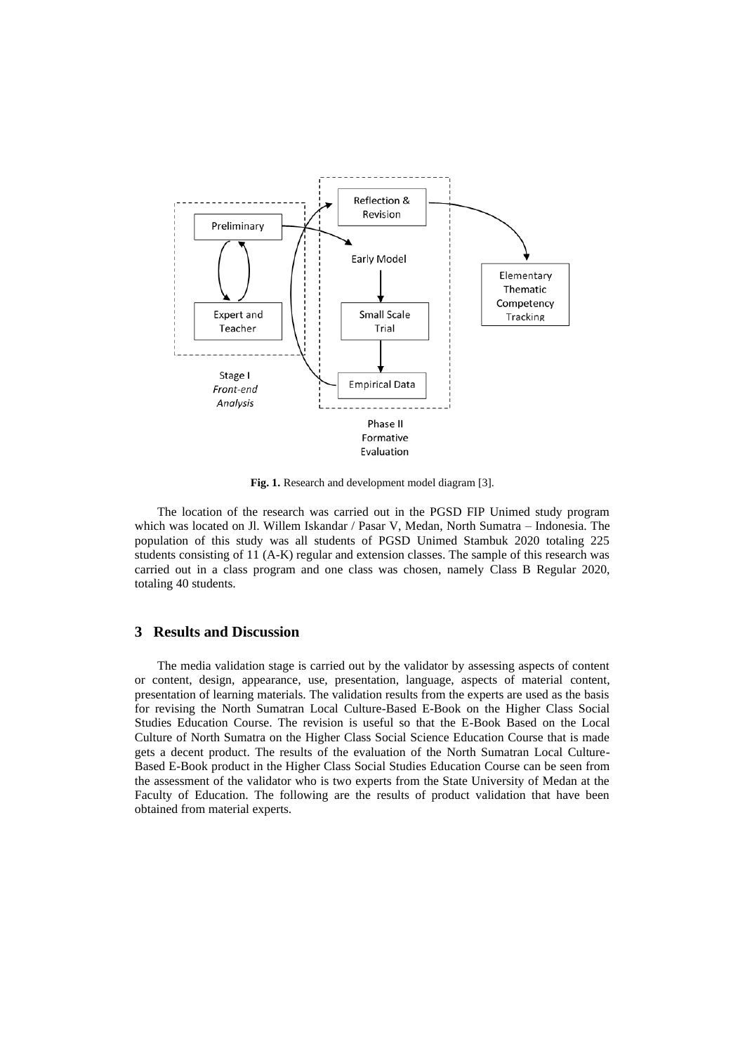

**Fig. 1.** Research and development model diagram [3].

The location of the research was carried out in the PGSD FIP Unimed study program which was located on Jl. Willem Iskandar / Pasar V, Medan, North Sumatra – Indonesia. The population of this study was all students of PGSD Unimed Stambuk 2020 totaling 225 students consisting of 11 (A-K) regular and extension classes. The sample of this research was carried out in a class program and one class was chosen, namely Class B Regular 2020, totaling 40 students.

#### **3 Results and Discussion**

The media validation stage is carried out by the validator by assessing aspects of content or content, design, appearance, use, presentation, language, aspects of material content, presentation of learning materials. The validation results from the experts are used as the basis for revising the North Sumatran Local Culture-Based E-Book on the Higher Class Social Studies Education Course. The revision is useful so that the E-Book Based on the Local Culture of North Sumatra on the Higher Class Social Science Education Course that is made gets a decent product. The results of the evaluation of the North Sumatran Local Culture-Based E-Book product in the Higher Class Social Studies Education Course can be seen from the assessment of the validator who is two experts from the State University of Medan at the Faculty of Education. The following are the results of product validation that have been obtained from material experts.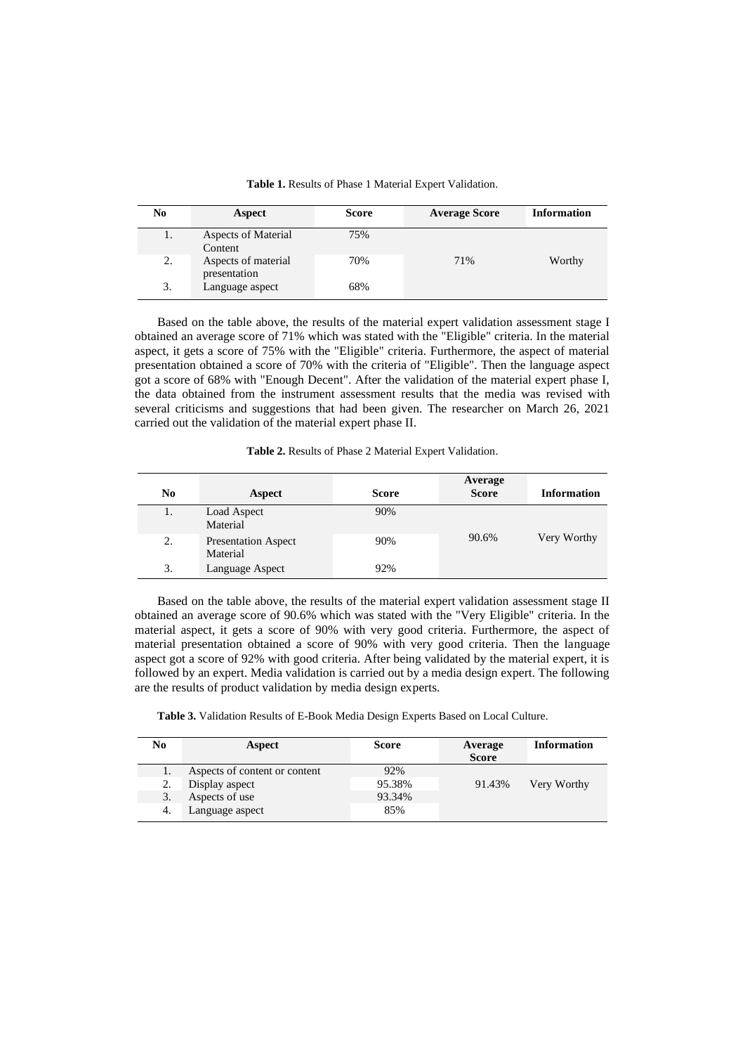| <b>Table 1.</b> Results of Phase 1 Material Expert Validation. |
|----------------------------------------------------------------|
|                                                                |

| No | Aspect                                | <b>Score</b> | <b>Average Score</b> | <b>Information</b> |
|----|---------------------------------------|--------------|----------------------|--------------------|
| 1. | <b>Aspects of Material</b><br>Content | 75%          |                      |                    |
| 2. | Aspects of material<br>presentation   | 70%          | 71%                  | Worthy             |
| 3. | Language aspect                       | 68%          |                      |                    |

Based on the table above, the results of the material expert validation assessment stage I obtained an average score of 71% which was stated with the "Eligible" criteria. In the material aspect, it gets a score of 75% with the "Eligible" criteria. Furthermore, the aspect of material presentation obtained a score of 70% with the criteria of "Eligible". Then the language aspect got a score of 68% with "Enough Decent". After the validation of the material expert phase I, the data obtained from the instrument assessment results that the media was revised with several criticisms and suggestions that had been given. The researcher on March 26, 2021 carried out the validation of the material expert phase II.

| Table 2. Results of Phase 2 Material Expert Validation. |  |  |
|---------------------------------------------------------|--|--|
|---------------------------------------------------------|--|--|

| No | Aspect                                 | <b>Score</b> | Average<br><b>Score</b> | <b>Information</b> |
|----|----------------------------------------|--------------|-------------------------|--------------------|
| 1. | Load Aspect<br>Material                | 90%          |                         |                    |
| 2. | <b>Presentation Aspect</b><br>Material | 90%          | 90.6%                   | Very Worthy        |
| 3. | Language Aspect                        | 92%          |                         |                    |

Based on the table above, the results of the material expert validation assessment stage II obtained an average score of 90.6% which was stated with the "Very Eligible" criteria. In the material aspect, it gets a score of 90% with very good criteria. Furthermore, the aspect of material presentation obtained a score of 90% with very good criteria. Then the language aspect got a score of 92% with good criteria. After being validated by the material expert, it is followed by an expert. Media validation is carried out by a media design expert. The following are the results of product validation by media design experts.

**Table 3.** Validation Results of E-Book Media Design Experts Based on Local Culture.

| No  | Aspect                        | <b>Score</b> | Average<br><b>Score</b> | <b>Information</b> |
|-----|-------------------------------|--------------|-------------------------|--------------------|
|     | Aspects of content or content | 92%          |                         |                    |
|     | Display aspect                | 95.38%       | 91.43%                  | Very Worthy        |
| 3.  | Aspects of use                | 93.34%       |                         |                    |
| -4. | Language aspect               | 85%          |                         |                    |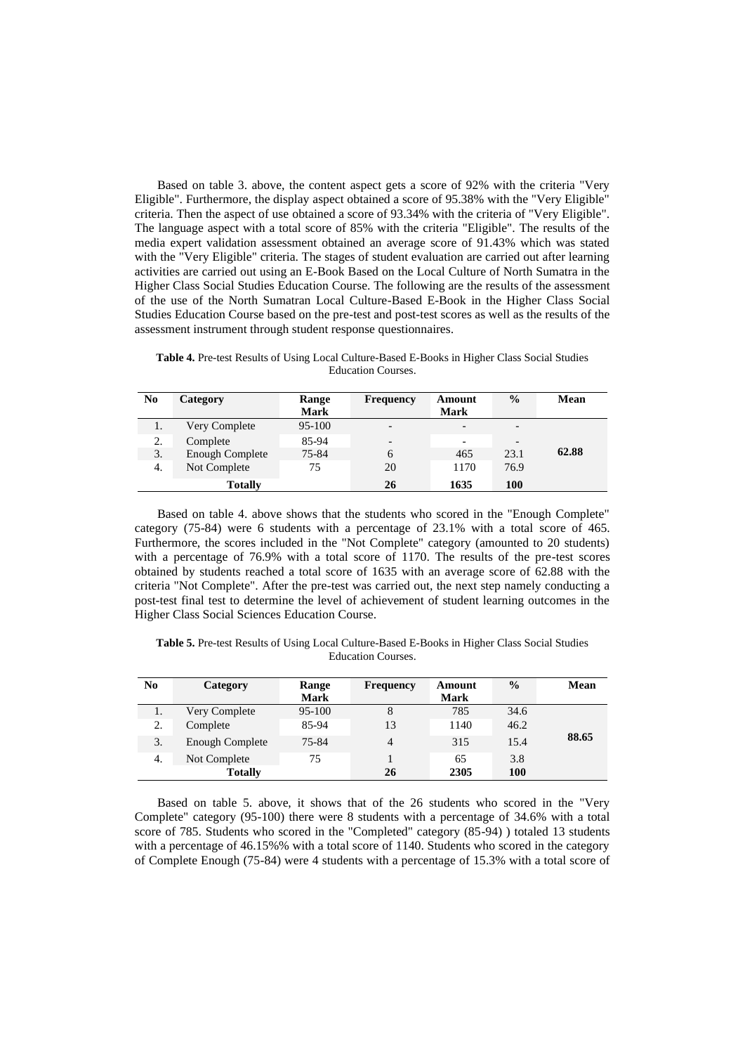Based on table 3. above, the content aspect gets a score of 92% with the criteria "Very Eligible". Furthermore, the display aspect obtained a score of 95.38% with the "Very Eligible" criteria. Then the aspect of use obtained a score of 93.34% with the criteria of "Very Eligible". The language aspect with a total score of 85% with the criteria "Eligible". The results of the media expert validation assessment obtained an average score of 91.43% which was stated with the "Very Eligible" criteria. The stages of student evaluation are carried out after learning activities are carried out using an E-Book Based on the Local Culture of North Sumatra in the Higher Class Social Studies Education Course. The following are the results of the assessment of the use of the North Sumatran Local Culture-Based E-Book in the Higher Class Social Studies Education Course based on the pre-test and post-test scores as well as the results of the assessment instrument through student response questionnaires.

**Table 4.** Pre-test Results of Using Local Culture-Based E-Books in Higher Class Social Studies Education Courses.

| N <sub>0</sub> | Category               | Range<br><b>Mark</b> | <b>Frequency</b>             | Amount<br><b>Mark</b> | $\frac{0}{0}$            | Mean  |
|----------------|------------------------|----------------------|------------------------------|-----------------------|--------------------------|-------|
| 1.             | Very Complete          | 95-100               | $\overline{\phantom{a}}$     | -                     | $\overline{\phantom{a}}$ |       |
| 2.             | Complete               | 85-94                | $\qquad \qquad \blacksquare$ |                       | $\overline{\phantom{a}}$ |       |
| 3.             | <b>Enough Complete</b> | 75-84                | 6                            | 465                   | 23.1                     | 62.88 |
| 4.             | Not Complete           | 75                   | 20                           | 1170                  | 76.9                     |       |
|                | <b>Totally</b>         |                      | 26                           | 1635                  | 100                      |       |

Based on table 4. above shows that the students who scored in the "Enough Complete" category (75-84) were 6 students with a percentage of 23.1% with a total score of 465. Furthermore, the scores included in the "Not Complete" category (amounted to 20 students) with a percentage of 76.9% with a total score of 1170. The results of the pre-test scores obtained by students reached a total score of 1635 with an average score of 62.88 with the criteria "Not Complete". After the pre-test was carried out, the next step namely conducting a post-test final test to determine the level of achievement of student learning outcomes in the Higher Class Social Sciences Education Course.

**Table 5.** Pre-test Results of Using Local Culture-Based E-Books in Higher Class Social Studies Education Courses.

| N <sub>0</sub> | Category               | Range       | <b>Frequency</b> | Amount      | $\frac{0}{0}$ | Mean  |
|----------------|------------------------|-------------|------------------|-------------|---------------|-------|
|                |                        | <b>Mark</b> |                  | <b>Mark</b> |               |       |
| 1.             | Very Complete          | 95-100      | 8                | 785         | 34.6          |       |
| 2.             | Complete               | 85-94       | 13               | 1140        | 46.2          |       |
| 3.             | <b>Enough Complete</b> | 75-84       | 4                | 315         | 15.4          | 88.65 |
| 4.             | Not Complete           | 75          |                  | 65          | 3.8           |       |
|                | <b>Totally</b>         |             | 26               | 2305        | 100           |       |

Based on table 5. above, it shows that of the 26 students who scored in the "Very Complete" category (95-100) there were 8 students with a percentage of 34.6% with a total score of 785. Students who scored in the "Completed" category (85-94) ) totaled 13 students with a percentage of 46.15%% with a total score of 1140. Students who scored in the category of Complete Enough (75-84) were 4 students with a percentage of 15.3% with a total score of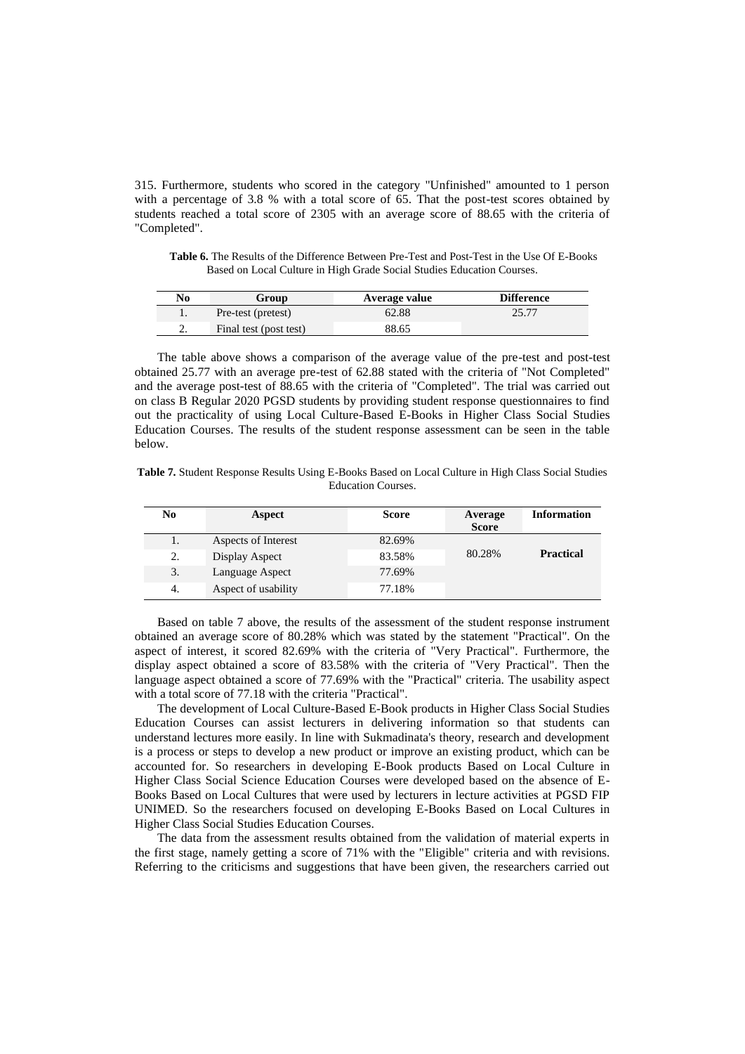315. Furthermore, students who scored in the category "Unfinished" amounted to 1 person with a percentage of 3.8 % with a total score of 65. That the post-test scores obtained by students reached a total score of 2305 with an average score of 88.65 with the criteria of "Completed".

**Table 6.** The Results of the Difference Between Pre-Test and Post-Test in the Use Of E-Books Based on Local Culture in High Grade Social Studies Education Courses.

| No       | Group                  | Average value | <b>Difference</b> |
|----------|------------------------|---------------|-------------------|
|          | Pre-test (pretest)     | 62.88         | 25.77             |
| <u>.</u> | Final test (post test) | 88.65         |                   |

The table above shows a comparison of the average value of the pre-test and post-test obtained 25.77 with an average pre-test of 62.88 stated with the criteria of "Not Completed" and the average post-test of 88.65 with the criteria of "Completed". The trial was carried out on class B Regular 2020 PGSD students by providing student response questionnaires to find out the practicality of using Local Culture-Based E-Books in Higher Class Social Studies Education Courses. The results of the student response assessment can be seen in the table below.

**Table 7.** Student Response Results Using E-Books Based on Local Culture in High Class Social Studies Education Courses.

| No | Aspect              | <b>Score</b> | Average<br><b>Score</b> | <b>Information</b> |
|----|---------------------|--------------|-------------------------|--------------------|
|    | Aspects of Interest | 82.69%       |                         |                    |
| 2. | Display Aspect      | 83.58%       | 80.28%                  | <b>Practical</b>   |
| 3. | Language Aspect     | 77.69%       |                         |                    |
| 4. | Aspect of usability | 77.18%       |                         |                    |

Based on table 7 above, the results of the assessment of the student response instrument obtained an average score of 80.28% which was stated by the statement "Practical". On the aspect of interest, it scored 82.69% with the criteria of "Very Practical". Furthermore, the display aspect obtained a score of 83.58% with the criteria of "Very Practical". Then the language aspect obtained a score of 77.69% with the "Practical" criteria. The usability aspect with a total score of 77.18 with the criteria "Practical".

The development of Local Culture-Based E-Book products in Higher Class Social Studies Education Courses can assist lecturers in delivering information so that students can understand lectures more easily. In line with Sukmadinata's theory, research and development is a process or steps to develop a new product or improve an existing product, which can be accounted for. So researchers in developing E-Book products Based on Local Culture in Higher Class Social Science Education Courses were developed based on the absence of E-Books Based on Local Cultures that were used by lecturers in lecture activities at PGSD FIP UNIMED. So the researchers focused on developing E-Books Based on Local Cultures in Higher Class Social Studies Education Courses.

The data from the assessment results obtained from the validation of material experts in the first stage, namely getting a score of 71% with the "Eligible" criteria and with revisions. Referring to the criticisms and suggestions that have been given, the researchers carried out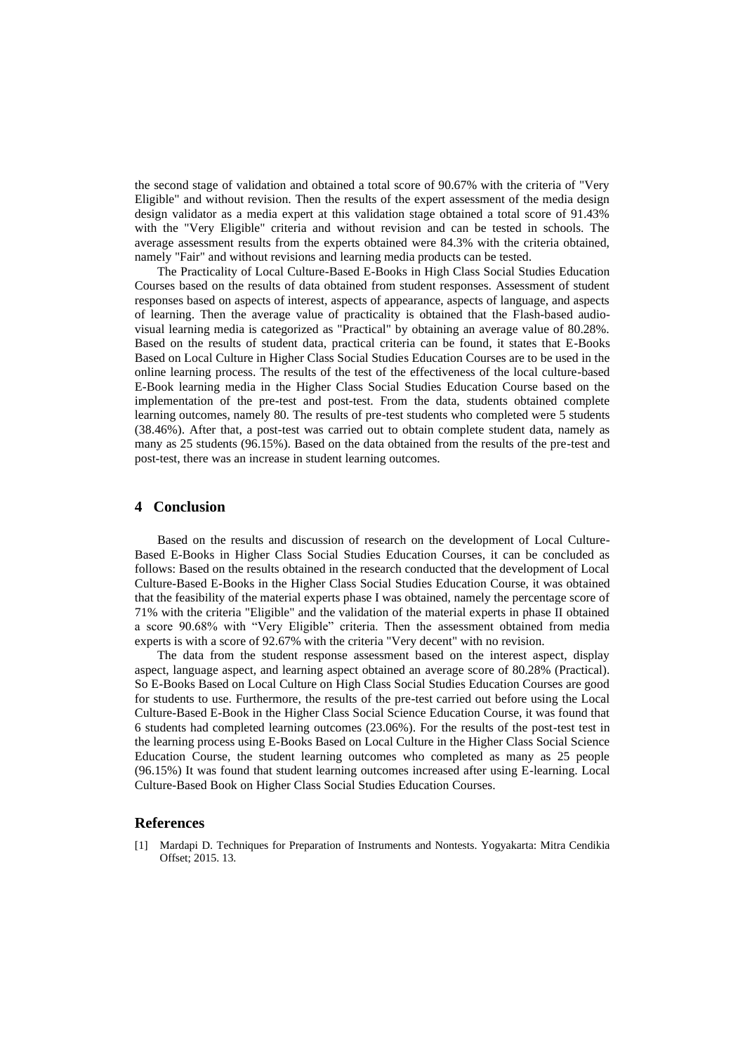the second stage of validation and obtained a total score of 90.67% with the criteria of "Very Eligible" and without revision. Then the results of the expert assessment of the media design design validator as a media expert at this validation stage obtained a total score of 91.43% with the "Very Eligible" criteria and without revision and can be tested in schools. The average assessment results from the experts obtained were 84.3% with the criteria obtained, namely "Fair" and without revisions and learning media products can be tested.

The Practicality of Local Culture-Based E-Books in High Class Social Studies Education Courses based on the results of data obtained from student responses. Assessment of student responses based on aspects of interest, aspects of appearance, aspects of language, and aspects of learning. Then the average value of practicality is obtained that the Flash-based audiovisual learning media is categorized as "Practical" by obtaining an average value of 80.28%. Based on the results of student data, practical criteria can be found, it states that E-Books Based on Local Culture in Higher Class Social Studies Education Courses are to be used in the online learning process. The results of the test of the effectiveness of the local culture-based E-Book learning media in the Higher Class Social Studies Education Course based on the implementation of the pre-test and post-test. From the data, students obtained complete learning outcomes, namely 80. The results of pre-test students who completed were 5 students (38.46%). After that, a post-test was carried out to obtain complete student data, namely as many as 25 students (96.15%). Based on the data obtained from the results of the pre-test and post-test, there was an increase in student learning outcomes.

## **4 Conclusion**

Based on the results and discussion of research on the development of Local Culture-Based E-Books in Higher Class Social Studies Education Courses, it can be concluded as follows: Based on the results obtained in the research conducted that the development of Local Culture-Based E-Books in the Higher Class Social Studies Education Course, it was obtained that the feasibility of the material experts phase I was obtained, namely the percentage score of 71% with the criteria "Eligible" and the validation of the material experts in phase II obtained a score 90.68% with "Very Eligible" criteria. Then the assessment obtained from media experts is with a score of 92.67% with the criteria "Very decent" with no revision.

The data from the student response assessment based on the interest aspect, display aspect, language aspect, and learning aspect obtained an average score of 80.28% (Practical). So E-Books Based on Local Culture on High Class Social Studies Education Courses are good for students to use. Furthermore, the results of the pre-test carried out before using the Local Culture-Based E-Book in the Higher Class Social Science Education Course, it was found that 6 students had completed learning outcomes (23.06%). For the results of the post-test test in the learning process using E-Books Based on Local Culture in the Higher Class Social Science Education Course, the student learning outcomes who completed as many as 25 people (96.15%) It was found that student learning outcomes increased after using E-learning. Local Culture-Based Book on Higher Class Social Studies Education Courses.

## **References**

[1] Mardapi D. Techniques for Preparation of Instruments and Nontests. Yogyakarta: Mitra Cendikia Offset; 2015. 13.